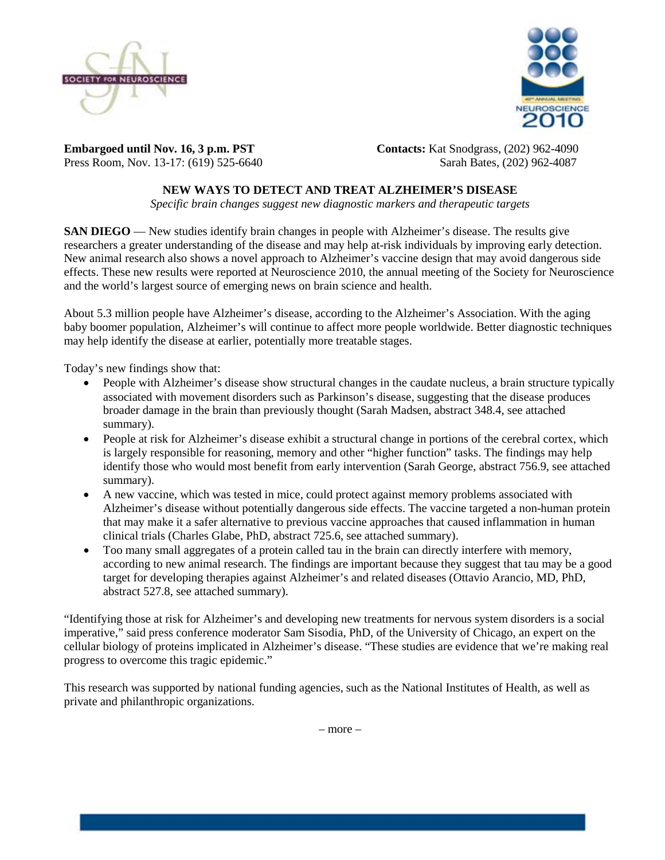



**Embargoed until Nov. 16, 3 p.m. PST Contacts:** Kat Snodgrass, (202) 962-4090 Press Room, Nov. 13-17: (619) 525-6640Sarah Bates, (202) 962-4087

## **NEW WAYS TO DETECT AND TREAT ALZHEIMER'S DISEASE**

*Specific brain changes suggest new diagnostic markers and therapeutic targets* 

**SAN DIEGO** — New studies identify brain changes in people with Alzheimer's disease. The results give researchers a greater understanding of the disease and may help at-risk individuals by improving early detection. New animal research also shows a novel approach to Alzheimer's vaccine design that may avoid dangerous side effects. These new results were reported at Neuroscience 2010, the annual meeting of the Society for Neuroscience and the world's largest source of emerging news on brain science and health.

About 5.3 million people have Alzheimer's disease, according to the Alzheimer's Association. With the aging baby boomer population, Alzheimer's will continue to affect more people worldwide. Better diagnostic techniques may help identify the disease at earlier, potentially more treatable stages.

Today's new findings show that:

- People with Alzheimer's disease show structural changes in the caudate nucleus, a brain structure typically associated with movement disorders such as Parkinson's disease, suggesting that the disease produces broader damage in the brain than previously thought (Sarah Madsen, abstract 348.4, see attached summary).
- People at risk for Alzheimer's disease exhibit a structural change in portions of the cerebral cortex, which is largely responsible for reasoning, memory and other "higher function" tasks. The findings may help identify those who would most benefit from early intervention (Sarah George, abstract 756.9, see attached summary).
- A new vaccine, which was tested in mice, could protect against memory problems associated with Alzheimer's disease without potentially dangerous side effects. The vaccine targeted a non-human protein that may make it a safer alternative to previous vaccine approaches that caused inflammation in human clinical trials (Charles Glabe, PhD, abstract 725.6, see attached summary).
- Too many small aggregates of a protein called tau in the brain can directly interfere with memory, according to new animal research. The findings are important because they suggest that tau may be a good target for developing therapies against Alzheimer's and related diseases (Ottavio Arancio, MD, PhD, abstract 527.8, see attached summary).

"Identifying those at risk for Alzheimer's and developing new treatments for nervous system disorders is a social imperative," said press conference moderator Sam Sisodia, PhD, of the University of Chicago, an expert on the cellular biology of proteins implicated in Alzheimer's disease. "These studies are evidence that we're making real progress to overcome this tragic epidemic."

This research was supported by national funding agencies, such as the National Institutes of Health, as well as private and philanthropic organizations.

– more –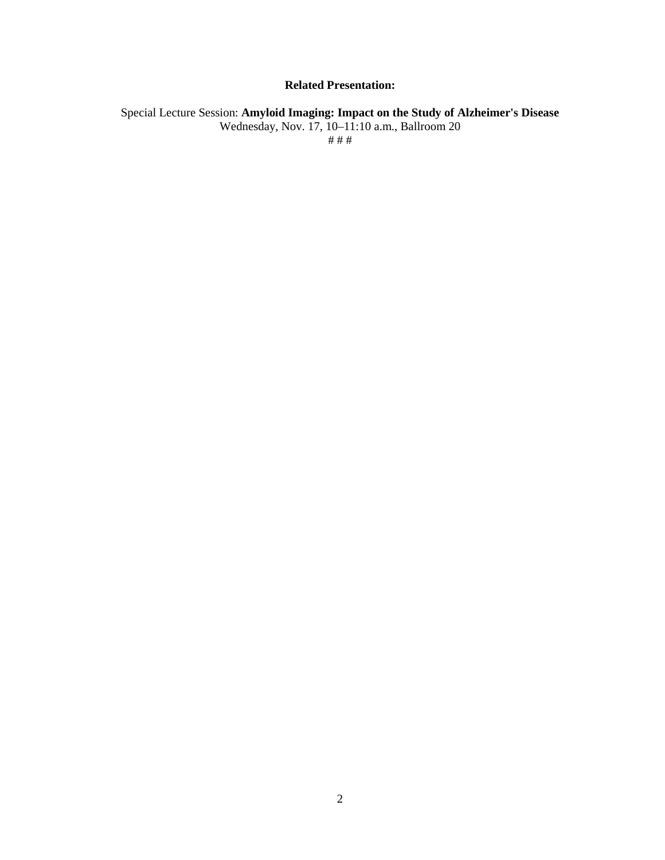### **Related Presentation:**

Special Lecture Session: **Amyloid Imaging: Impact on the Study of Alzheimer's Disease** Wednesday, Nov. 17, 10–11:10 a.m., Ballroom 20 # # #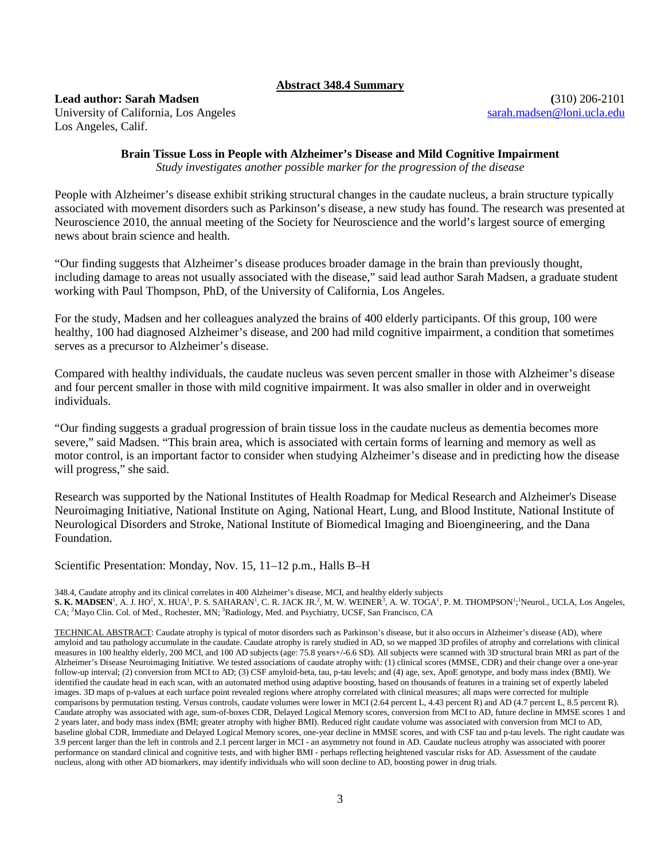### **Abstract 348.4 Summary**

### **Lead author: Sarah Madsen (**310) 206-2101 University of California, Los Angeles [sarah.madsen@loni.ucla.edu](mailto:sarah.madsen@loni.ucla.edu) Los Angeles, Calif.

# **Brain Tissue Loss in People with Alzheimer's Disease and Mild Cognitive Impairment**

*Study investigates another possible marker for the progression of the disease*

People with Alzheimer's disease exhibit striking structural changes in the caudate nucleus, a brain structure typically associated with movement disorders such as Parkinson's disease, a new study has found. The research was presented at Neuroscience 2010, the annual meeting of the Society for Neuroscience and the world's largest source of emerging news about brain science and health.

"Our finding suggests that Alzheimer's disease produces broader damage in the brain than previously thought, including damage to areas not usually associated with the disease," said lead author Sarah Madsen, a graduate student working with Paul Thompson, PhD, of the University of California, Los Angeles.

For the study, Madsen and her colleagues analyzed the brains of 400 elderly participants. Of this group, 100 were healthy, 100 had diagnosed Alzheimer's disease, and 200 had mild cognitive impairment, a condition that sometimes serves as a precursor to Alzheimer's disease.

Compared with healthy individuals, the caudate nucleus was seven percent smaller in those with Alzheimer's disease and four percent smaller in those with mild cognitive impairment. It was also smaller in older and in overweight individuals.

"Our finding suggests a gradual progression of brain tissue loss in the caudate nucleus as dementia becomes more severe," said Madsen. "This brain area, which is associated with certain forms of learning and memory as well as motor control, is an important factor to consider when studying Alzheimer's disease and in predicting how the disease will progress," she said.

Research was supported by the National Institutes of Health Roadmap for Medical Research and Alzheimer's Disease Neuroimaging Initiative, National Institute on Aging, National Heart, Lung, and Blood Institute, National Institute of Neurological Disorders and Stroke, National Institute of Biomedical Imaging and Bioengineering, and the Dana Foundation.

Scientific Presentation: Monday, Nov. 15, 11–12 p.m., Halls B–H

348.4, Caudate atrophy and its clinical correlates in 400 Alzheimer's disease, MCI, and healthy elderly subjects  $\bf S$ . **K. MADSEN'**, A. J. HO<sup>1</sup>, X. HUA<sup>1</sup>, P. S. SAHARAN<sup>1</sup>, C. R. JACK JR.<sup>2</sup>, M. W. WEINER<sup>3</sup>, A. W. TOGA<sup>1</sup>, P. M. THOMPSON<sup>1</sup>;<sup>1</sup>Neurol., UCLA, Los Angeles, CA; <sup>2</sup>Mayo Clin. Col. of Med., Rochester, MN; <sup>3</sup>Radiology, Med. and Psychiatry, UCSF, San Francisco, CA

TECHNICAL ABSTRACT: Caudate atrophy is typical of motor disorders such as Parkinson's disease, but it also occurs in Alzheimer's disease (AD), where amyloid and tau pathology accumulate in the caudate. Caudate atrophy is rarely studied in AD, so we mapped 3D profiles of atrophy and correlations with clinical measures in 100 healthy elderly, 200 MCI, and 100 AD subjects (age: 75.8 years+/-6.6 SD). All subjects were scanned with 3D structural brain MRI as part of the Alzheimer's Disease Neuroimaging Initiative. We tested associations of caudate atrophy with: (1) clinical scores (MMSE, CDR) and their change over a one-year follow-up interval; (2) conversion from MCI to AD; (3) CSF amyloid-beta, tau, p-tau levels; and (4) age, sex, ApoE genotype, and body mass index (BMI). We identified the caudate head in each scan, with an automated method using adaptive boosting, based on thousands of features in a training set of expertly labeled images. 3D maps of p-values at each surface point revealed regions where atrophy correlated with clinical measures; all maps were corrected for multiple comparisons by permutation testing. Versus controls, caudate volumes were lower in MCI (2.64 percent L, 4.43 percent R) and AD (4.7 percent L, 8.5 percent R). Caudate atrophy was associated with age, sum-of-boxes CDR, Delayed Logical Memory scores, conversion from MCI to AD, future decline in MMSE scores 1 and 2 years later, and body mass index (BMI; greater atrophy with higher BMI). Reduced right caudate volume was associated with conversion from MCI to AD, baseline global CDR, Immediate and Delayed Logical Memory scores, one-year decline in MMSE scores, and with CSF tau and p-tau levels. The right caudate was 3.9 percent larger than the left in controls and 2.1 percent larger in MCI - an asymmetry not found in AD. Caudate nucleus atrophy was associated with poorer performance on standard clinical and cognitive tests, and with higher BMI - perhaps reflecting heightened vascular risks for AD. Assessment of the caudate nucleus, along with other AD biomarkers, may identify individuals who will soon decline to AD, boosting power in drug trials.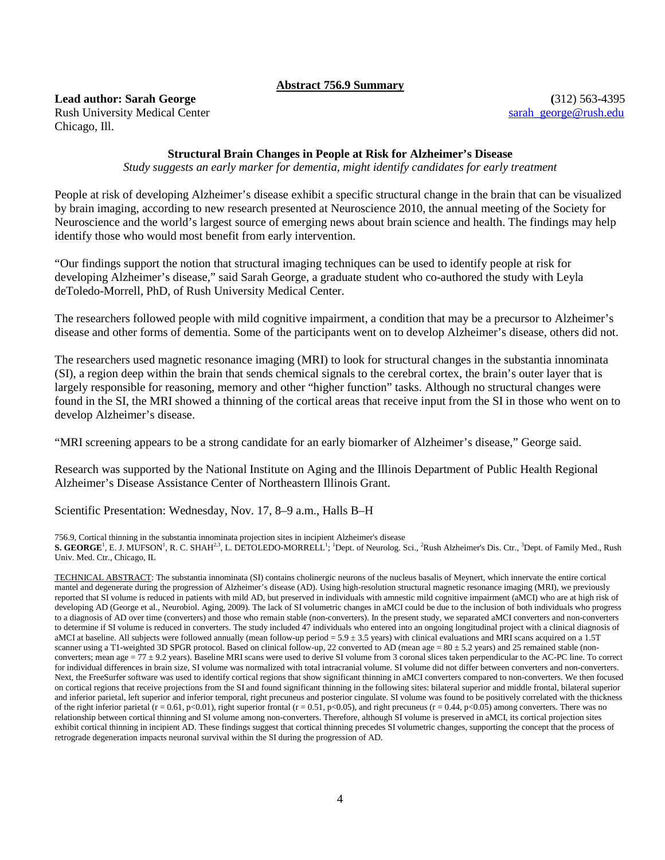### **Abstract 756.9 Summary**

# **Lead author: Sarah George (**312) 563-4395

Chicago, Ill.

Rush University Medical Center [sarah\\_george@rush.edu](mailto:sarah_george@rush.edu)

### **Structural Brain Changes in People at Risk for Alzheimer's Disease**

*Study suggests an early marker for dementia, might identify candidates for early treatment*

People at risk of developing Alzheimer's disease exhibit a specific structural change in the brain that can be visualized by brain imaging, according to new research presented at Neuroscience 2010, the annual meeting of the Society for Neuroscience and the world's largest source of emerging news about brain science and health. The findings may help identify those who would most benefit from early intervention.

"Our findings support the notion that structural imaging techniques can be used to identify people at risk for developing Alzheimer's disease," said Sarah George, a graduate student who co-authored the study with Leyla deToledo-Morrell, PhD, of Rush University Medical Center.

The researchers followed people with mild cognitive impairment, a condition that may be a precursor to Alzheimer's disease and other forms of dementia. Some of the participants went on to develop Alzheimer's disease, others did not.

The researchers used magnetic resonance imaging (MRI) to look for structural changes in the substantia innominata (SI), a region deep within the brain that sends chemical signals to the cerebral cortex, the brain's outer layer that is largely responsible for reasoning, memory and other "higher function" tasks. Although no structural changes were found in the SI, the MRI showed a thinning of the cortical areas that receive input from the SI in those who went on to develop Alzheimer's disease.

"MRI screening appears to be a strong candidate for an early biomarker of Alzheimer's disease," George said.

Research was supported by the National Institute on Aging and the Illinois Department of Public Health Regional Alzheimer's Disease Assistance Center of Northeastern Illinois Grant.

Scientific Presentation: Wednesday, Nov. 17, 8–9 a.m., Halls B–H

756.9, Cortical thinning in the substantia innominata projection sites in incipient Alzheimer's disease

S. GEORGE<sup>1</sup>, E. J. MUFSON<sup>1</sup>, R. C. SHAH<sup>2,3</sup>, L. DETOLEDO-MORRELL<sup>1</sup>; <sup>1</sup>Dept. of Neurolog. Sci., <sup>2</sup>Rush Alzheimer's Dis. Ctr., <sup>3</sup>Dept. of Family Med., Rush Univ. Med. Ctr., Chicago, IL

TECHNICAL ABSTRACT: The substantia innominata (SI) contains cholinergic neurons of the nucleus basalis of Meynert, which innervate the entire cortical mantel and degenerate during the progression of Alzheimer's disease (AD). Using high-resolution structural magnetic resonance imaging (MRI), we previously reported that SI volume is reduced in patients with mild AD, but preserved in individuals with amnestic mild cognitive impairment (aMCI) who are at high risk of developing AD (George et al., Neurobiol. Aging, 2009). The lack of SI volumetric changes in aMCI could be due to the inclusion of both individuals who progress to a diagnosis of AD over time (converters) and those who remain stable (non-converters). In the present study, we separated aMCI converters and non-converters to determine if SI volume is reduced in converters. The study included 47 individuals who entered into an ongoing longitudinal project with a clinical diagnosis of aMCI at baseline. All subjects were followed annually (mean follow-up period = 5.9 ± 3.5 years) with clinical evaluations and MRI scans acquired on a 1.5T scanner using a T1-weighted 3D SPGR protocol. Based on clinical follow-up, 22 converted to AD (mean age =  $80 \pm 5.2$  years) and 25 remained stable (nonconverters; mean age  $= 77 \pm 9.2$  years). Baseline MRI scans were used to derive SI volume from 3 coronal slices taken perpendicular to the AC-PC line. To correct for individual differences in brain size, SI volume was normalized with total intracranial volume. SI volume did not differ between converters and non-converters. Next, the FreeSurfer software was used to identify cortical regions that show significant thinning in aMCI converters compared to non-converters. We then focused on cortical regions that receive projections from the SI and found significant thinning in the following sites: bilateral superior and middle frontal, bilateral superior and inferior parietal, left superior and inferior temporal, right precuneus and posterior cingulate. SI volume was found to be positively correlated with the thickness of the right inferior parietal (r = 0.61, p<0.01), right superior frontal (r = 0.51, p<0.05), and right precuneus (r = 0.44, p<0.05) among converters. There was no relationship between cortical thinning and SI volume among non-converters. Therefore, although SI volume is preserved in aMCI, its cortical projection sites exhibit cortical thinning in incipient AD. These findings suggest that cortical thinning precedes SI volumetric changes, supporting the concept that the process of retrograde degeneration impacts neuronal survival within the SI during the progression of AD.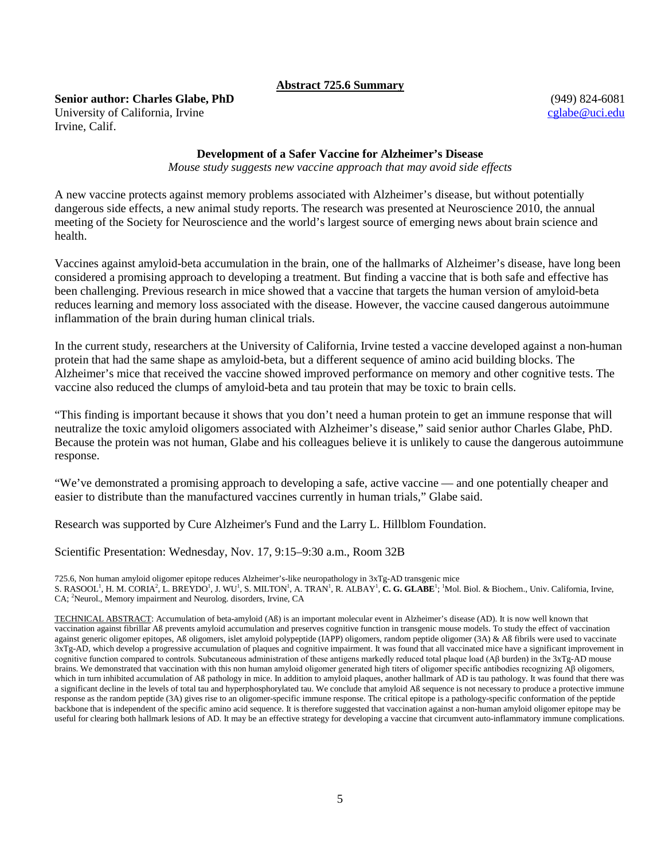### **Abstract 725.6 Summary**

**Senior author: Charles Glabe, PhD** (949) 824-6081 University of California, Irvine cglabe Quantum cglabe Quantum cglabe Quantum cglabe Quantum cglabe Quantum cglabe Quantum cglabe Quantum cglabe Quantum cglabe Quantum cglabe Quantum cglabe Quantum cglabe Quantum cglabe Qu Irvine, Calif.

### **Development of a Safer Vaccine for Alzheimer's Disease**

*Mouse study suggests new vaccine approach that may avoid side effects*

A new vaccine protects against memory problems associated with Alzheimer's disease, but without potentially dangerous side effects, a new animal study reports. The research was presented at Neuroscience 2010, the annual meeting of the Society for Neuroscience and the world's largest source of emerging news about brain science and health.

Vaccines against amyloid-beta accumulation in the brain, one of the hallmarks of Alzheimer's disease, have long been considered a promising approach to developing a treatment. But finding a vaccine that is both safe and effective has been challenging. Previous research in mice showed that a vaccine that targets the human version of amyloid-beta reduces learning and memory loss associated with the disease. However, the vaccine caused dangerous autoimmune inflammation of the brain during human clinical trials.

In the current study, researchers at the University of California, Irvine tested a vaccine developed against a non-human protein that had the same shape as amyloid-beta, but a different sequence of amino acid building blocks. The Alzheimer's mice that received the vaccine showed improved performance on memory and other cognitive tests. The vaccine also reduced the clumps of amyloid-beta and tau protein that may be toxic to brain cells.

"This finding is important because it shows that you don't need a human protein to get an immune response that will neutralize the toxic amyloid oligomers associated with Alzheimer's disease," said senior author Charles Glabe, PhD. Because the protein was not human, Glabe and his colleagues believe it is unlikely to cause the dangerous autoimmune response.

"We've demonstrated a promising approach to developing a safe, active vaccine — and one potentially cheaper and easier to distribute than the manufactured vaccines currently in human trials," Glabe said.

Research was supported by Cure Alzheimer's Fund and the Larry L. Hillblom Foundation.

Scientific Presentation: Wednesday, Nov. 17, 9:15–9:30 a.m., Room 32B

725.6, Non human amyloid oligomer epitope reduces Alzheimer's-like neuropathology in 3xTg-AD transgenic mice S. RASOOL<sup>1</sup>, H. M. CORIA<sup>2</sup>, L. BREYDO<sup>1</sup>, J. WU<sup>1</sup>, S. MILTON<sup>1</sup>, A. TRAN<sup>1</sup>, R. ALBAY<sup>1</sup>, C**. G. GLABE<sup>1</sup>; <sup>1</sup>Mol. Biol. & Biochem., Univ. California, Irvine,** CA; <sup>2</sup>Neurol., Memory impairment and Neurolog. disorders, Irvine, CA

TECHNICAL ABSTRACT: Accumulation of beta-amyloid (Aß) is an important molecular event in Alzheimer's disease (AD). It is now well known that vaccination against fibrillar Aß prevents amyloid accumulation and preserves cognitive function in transgenic mouse models. To study the effect of vaccination against generic oligomer epitopes, Aß oligomers, islet amyloid polypeptide (IAPP) oligomers, random peptide oligomer (3A) & Aß fibrils were used to vaccinate 3xTg-AD, which develop a progressive accumulation of plaques and cognitive impairment. It was found that all vaccinated mice have a significant improvement in cognitive function compared to controls. Subcutaneous administration of these antigens markedly reduced total plaque load (Aβ burden) in the 3xTg-AD mouse brains. We demonstrated that vaccination with this non human amyloid oligomer generated high titers of oligomer specific antibodies recognizing Aβ oligomers, which in turn inhibited accumulation of Aß pathology in mice. In addition to amyloid plaques, another hallmark of AD is tau pathology. It was found that there was a significant decline in the levels of total tau and hyperphosphorylated tau. We conclude that amyloid Aß sequence is not necessary to produce a protective immune response as the random peptide (3A) gives rise to an oligomer-specific immune response. The critical epitope is a pathology-specific conformation of the peptide backbone that is independent of the specific amino acid sequence. It is therefore suggested that vaccination against a non-human amyloid oligomer epitope may be useful for clearing both hallmark lesions of AD. It may be an effective strategy for developing a vaccine that circumvent auto-inflammatory immune complications.